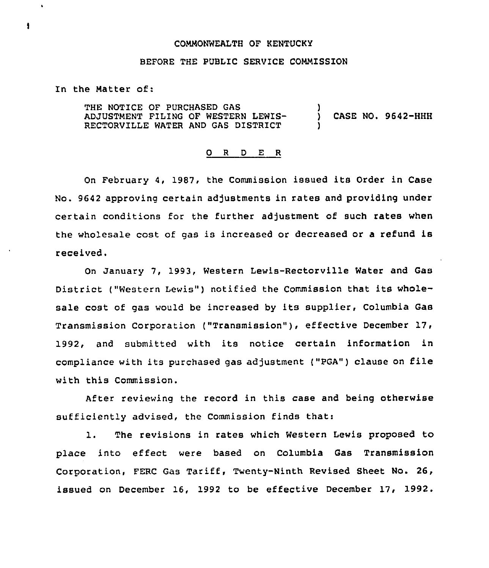## COMMONWEALTH OF KENTUCKY

## BEFORE THE PUBLIC SERVICE COMMISSION

In the Matter of:

THE NOTICE OF PURCHASED GAS ADJUSTMENT FILING OF WESTERN LEWIS-RECTORVILLE WATER AND GAS DISTRICT ) ) CASE NO. 9642-HHH )

## 0 <sup>R</sup> <sup>D</sup> E <sup>R</sup>

On February 4, 1987, the Commission issued its Order in Case No. 9642 approving certain adjustments in rates and providing under certain conditions for the further adjustment of such rates when the wholesale cost of gas is increased or decreased or <sup>a</sup> refund is received.

On January 7, 1993, Western Lewis-Rectorville Water and Gas District ("Western Lewis") notified the Commission that its wholesale cost of gas would be increased by its supplier, Columbia Gas Transmission Corporation ("Transmission" ), effective December 17, 1992, and submitted with its notice certain information in compliance with its purchased gas adjustment ("PGA") clause on file with this Commission.

After reviewing the record in this case and being otherwise sufficiently advised, the Commission finds that:

1. The revisions in rates which Western Lewis proposed to place into effect were based on Columbia Gas Transmission Corporation, FERC Gas Tariff, Twenty-Ninth Revised Sheet No. 26, issued on December 16, 1992 to be effective December 17, 1992.

 $\ddagger$